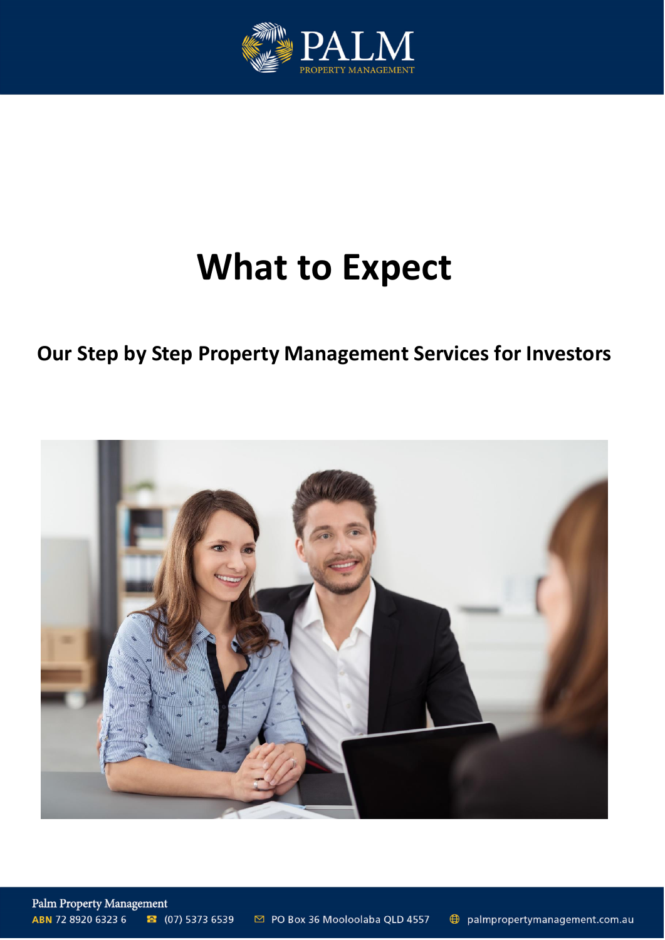

# **What to Expect**

# **Our Step by Step Property Management Services for Investors**

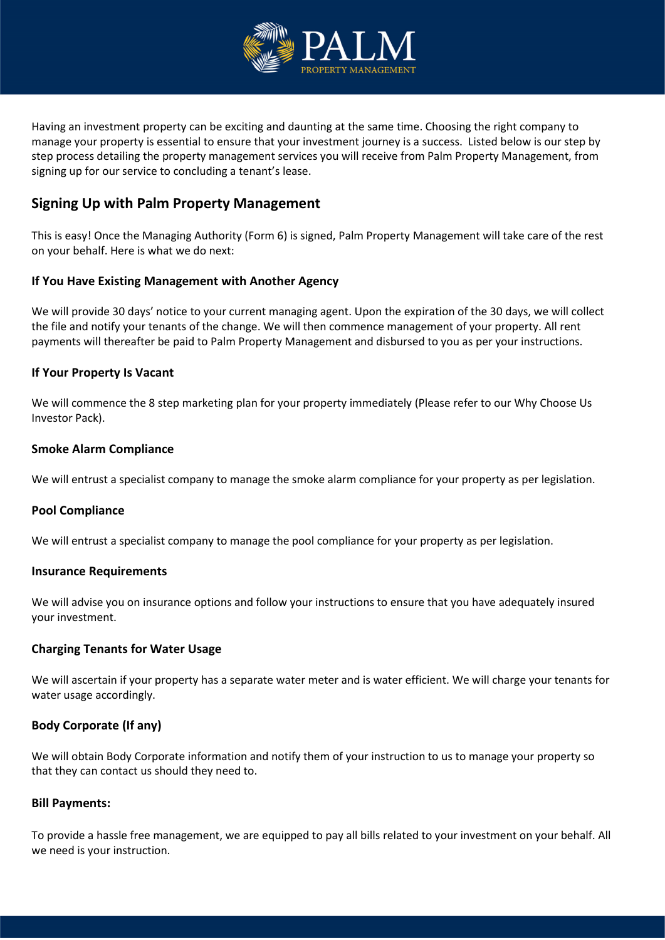

Having an investment property can be exciting and daunting at the same time. Choosing the right company to manage your property is essential to ensure that your investment journey is a success. Listed below is our step by step process detailing the property management services you will receive from Palm Property Management, from signing up for our service to concluding a tenant's lease.

# **Signing Up with Palm Property Management**

This is easy! Once the Managing Authority (Form 6) is signed, Palm Property Management will take care of the rest on your behalf. Here is what we do next:

#### **If You Have Existing Management with Another Agency**

We will provide 30 days' notice to your current managing agent. Upon the expiration of the 30 days, we will collect the file and notify your tenants of the change. We will then commence management of your property. All rent payments will thereafter be paid to Palm Property Management and disbursed to you as per your instructions.

#### **If Your Property Is Vacant**

We will commence the 8 step marketing plan for your property immediately (Please refer to our Why Choose Us Investor Pack).

#### **Smoke Alarm Compliance**

We will entrust a specialist company to manage the smoke alarm compliance for your property as per legislation.

#### **Pool Compliance**

We will entrust a specialist company to manage the pool compliance for your property as per legislation.

#### **Insurance Requirements**

We will advise you on insurance options and follow your instructions to ensure that you have adequately insured your investment.

#### **Charging Tenants for Water Usage**

We will ascertain if your property has a separate water meter and is water efficient. We will charge your tenants for water usage accordingly.

#### **Body Corporate (If any)**

We will obtain Body Corporate information and notify them of your instruction to us to manage your property so that they can contact us should they need to.

#### **Bill Payments:**

To provide a hassle free management, we are equipped to pay all bills related to your investment on your behalf. All we need is your instruction.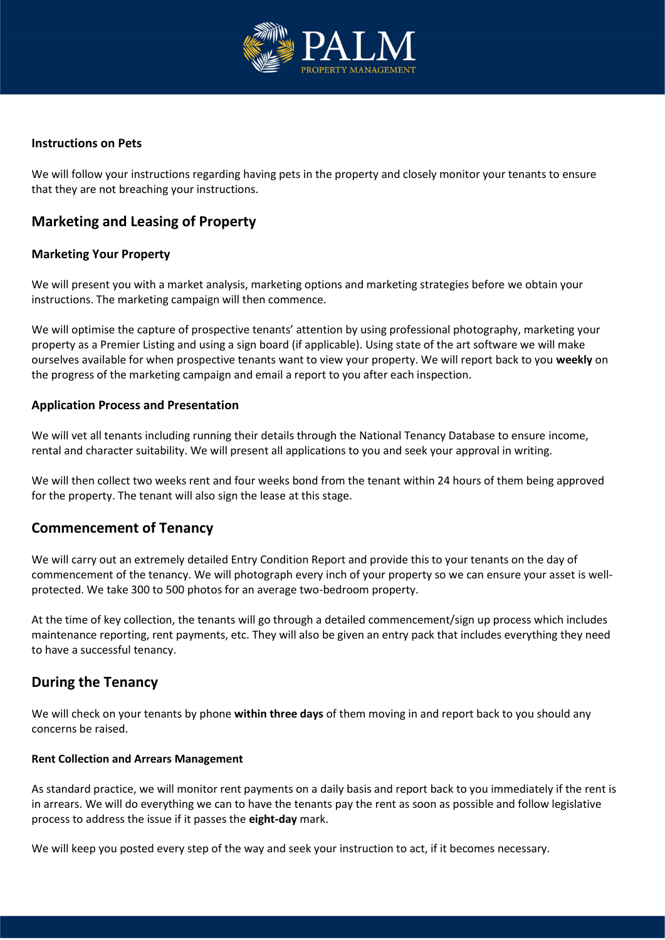

#### **Instructions on Pets**

We will follow your instructions regarding having pets in the property and closely monitor your tenants to ensure that they are not breaching your instructions.

# **Marketing and Leasing of Property**

#### **Marketing Your Property**

We will present you with a market analysis, marketing options and marketing strategies before we obtain your instructions. The marketing campaign will then commence.

We will optimise the capture of prospective tenants' attention by using professional photography, marketing your property as a Premier Listing and using a sign board (if applicable). Using state of the art software we will make ourselves available for when prospective tenants want to view your property. We will report back to you **weekly** on the progress of the marketing campaign and email a report to you after each inspection.

#### **Application Process and Presentation**

We will vet all tenants including running their details through the National Tenancy Database to ensure income, rental and character suitability. We will present all applications to you and seek your approval in writing.

We will then collect two weeks rent and four weeks bond from the tenant within 24 hours of them being approved for the property. The tenant will also sign the lease at this stage.

# **Commencement of Tenancy**

We will carry out an extremely detailed Entry Condition Report and provide this to your tenants on the day of commencement of the tenancy. We will photograph every inch of your property so we can ensure your asset is wellprotected. We take 300 to 500 photos for an average two-bedroom property.

At the time of key collection, the tenants will go through a detailed commencement/sign up process which includes maintenance reporting, rent payments, etc. They will also be given an entry pack that includes everything they need to have a successful tenancy.

# **During the Tenancy**

We will check on your tenants by phone **within three days** of them moving in and report back to you should any concerns be raised.

#### **Rent Collection and Arrears Management**

As standard practice, we will monitor rent payments on a daily basis and report back to you immediately if the rent is in arrears. We will do everything we can to have the tenants pay the rent as soon as possible and follow legislative process to address the issue if it passes the **eight-day** mark.

We will keep you posted every step of the way and seek your instruction to act, if it becomes necessary.